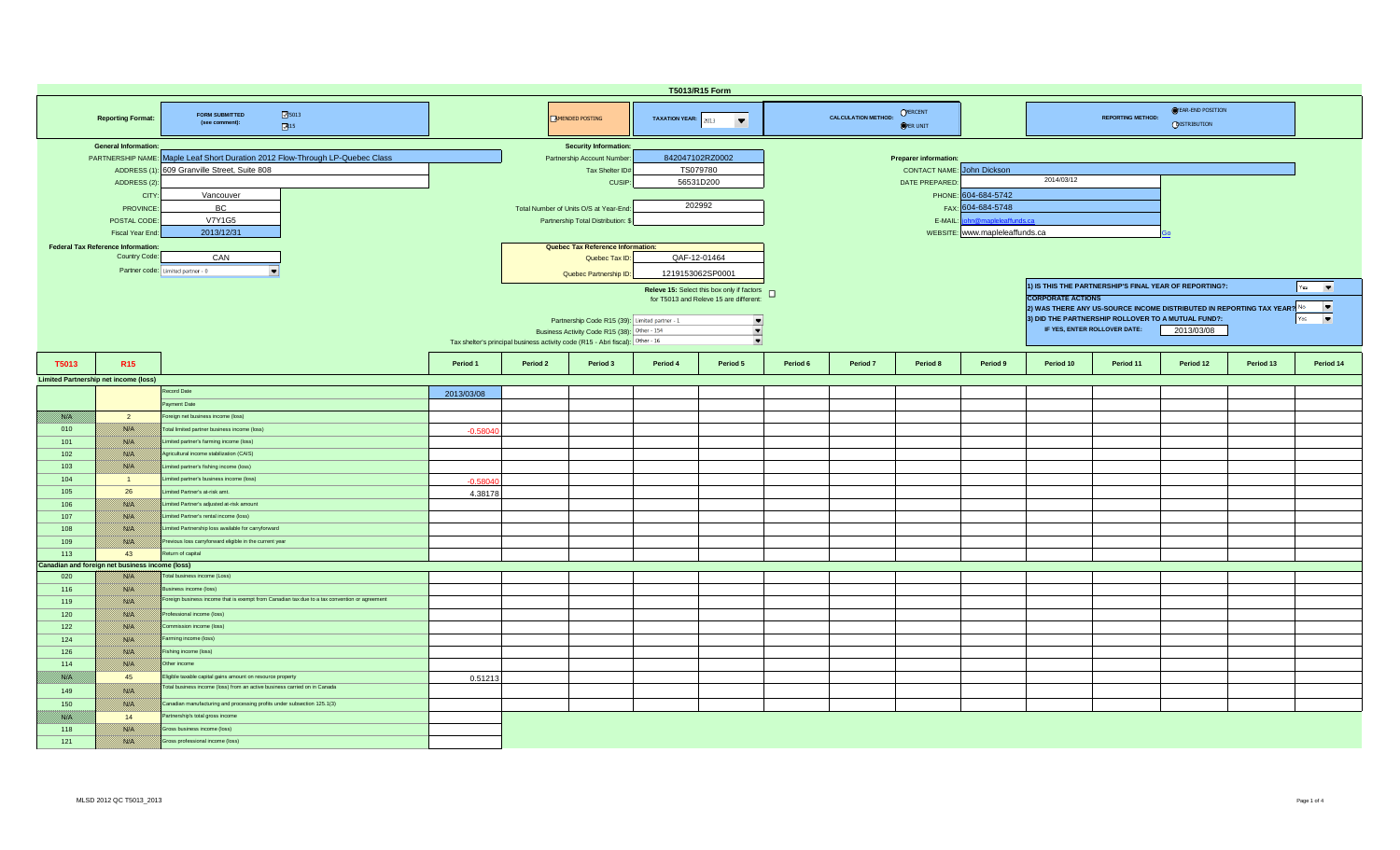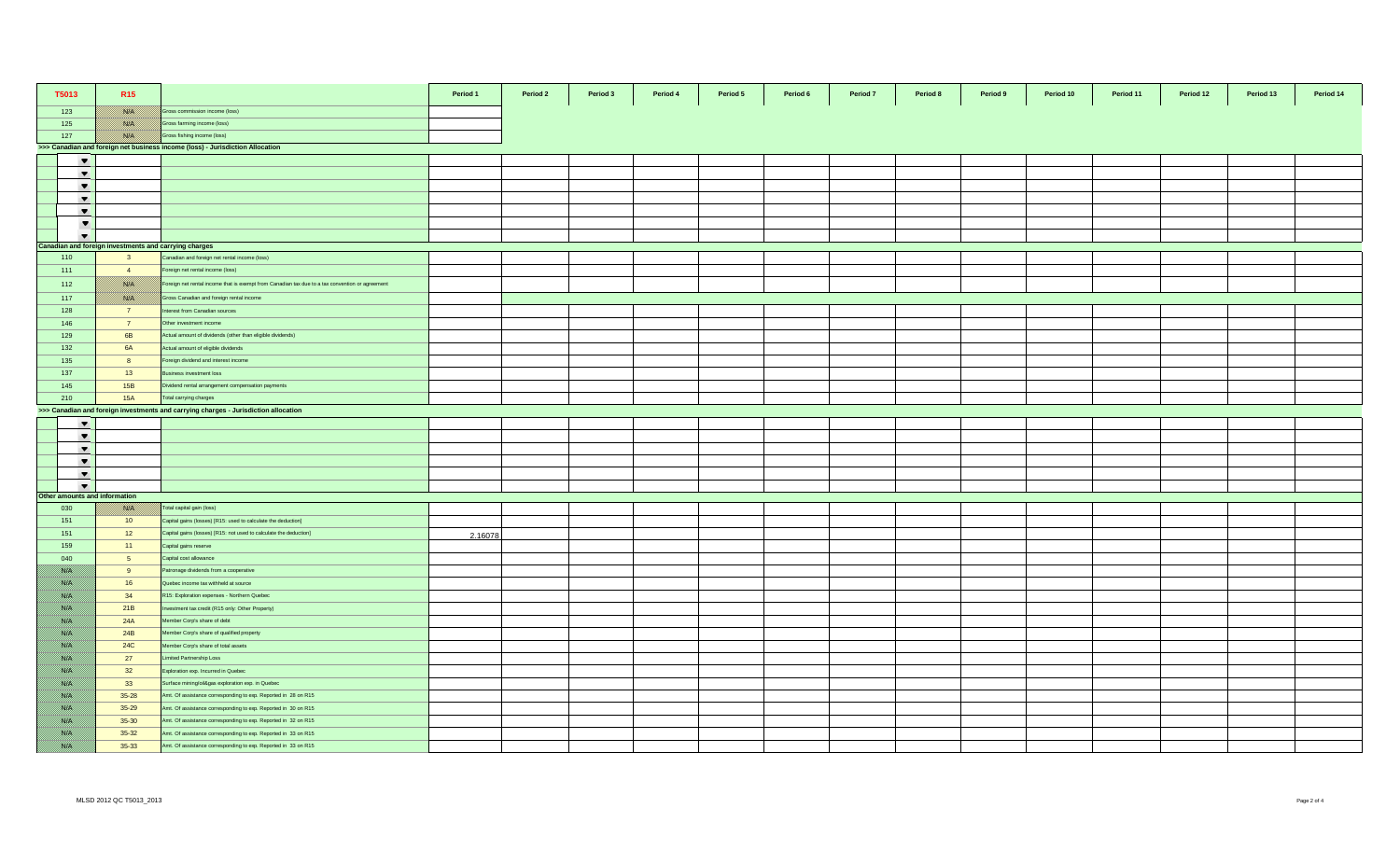| T5013         |                          | R <sub>15</sub>                                       |                                                                                                 | Period 1 | Period 2 | Period 3 | Period 4 | Period 5 | Period 6 | Period 7 | Period 8 | Period 9 | Period 10 | Period 11 | Period 12 | Period 13 | Period 14 |
|---------------|--------------------------|-------------------------------------------------------|-------------------------------------------------------------------------------------------------|----------|----------|----------|----------|----------|----------|----------|----------|----------|-----------|-----------|-----------|-----------|-----------|
| 123           |                          | <b>BASE SE</b>                                        | Gross commission income (loss)                                                                  |          |          |          |          |          |          |          |          |          |           |           |           |           |           |
| 125           |                          | <b>BASE SA</b>                                        | Gross farming income (loss)                                                                     |          |          |          |          |          |          |          |          |          |           |           |           |           |           |
| 127           |                          | <b>BARA</b>                                           | Gross fishing income (loss)                                                                     |          |          |          |          |          |          |          |          |          |           |           |           |           |           |
|               |                          |                                                       | >>> Canadian and foreign net business income (loss) - Jurisdiction Allocation                   |          |          |          |          |          |          |          |          |          |           |           |           |           |           |
|               | $\blacktriangledown$     |                                                       |                                                                                                 |          |          |          |          |          |          |          |          |          |           |           |           |           |           |
|               | $\blacktriangledown$     |                                                       |                                                                                                 |          |          |          |          |          |          |          |          |          |           |           |           |           |           |
|               | $\blacktriangledown$     |                                                       |                                                                                                 |          |          |          |          |          |          |          |          |          |           |           |           |           |           |
|               | $\overline{\phantom{a}}$ |                                                       |                                                                                                 |          |          |          |          |          |          |          |          |          |           |           |           |           |           |
|               | $\blacktriangledown$     |                                                       |                                                                                                 |          |          |          |          |          |          |          |          |          |           |           |           |           |           |
|               | $\overline{\phantom{a}}$ |                                                       |                                                                                                 |          |          |          |          |          |          |          |          |          |           |           |           |           |           |
|               | $\overline{\phantom{a}}$ |                                                       |                                                                                                 |          |          |          |          |          |          |          |          |          |           |           |           |           |           |
|               |                          | Canadian and foreign investments and carrying charges |                                                                                                 |          |          |          |          |          |          |          |          |          |           |           |           |           |           |
| 110           |                          | $\overline{\mathbf{3}}$                               | Canadian and foreign net rental income (loss)                                                   |          |          |          |          |          |          |          |          |          |           |           |           |           |           |
| 111           |                          | $\overline{4}$                                        | oreign net rental income (loss)                                                                 |          |          |          |          |          |          |          |          |          |           |           |           |           |           |
| 112           |                          | <u>nsiya</u>                                          | Foreign net rental income that is exempt from Canadian tax due to a tax convention or agreement |          |          |          |          |          |          |          |          |          |           |           |           |           |           |
| 117           |                          | <b>SSSS</b>                                           | Gross Canadian and foreign rental income                                                        |          |          |          |          |          |          |          |          |          |           |           |           |           |           |
| 128           |                          | 7 <sup>7</sup>                                        | nterest from Canadian sources                                                                   |          |          |          |          |          |          |          |          |          |           |           |           |           |           |
| 146           |                          | 7 <sup>7</sup>                                        | Other investment income                                                                         |          |          |          |          |          |          |          |          |          |           |           |           |           |           |
| 129           |                          | 6 <b>B</b>                                            | Actual amount of dividends (other than eligible dividends)                                      |          |          |          |          |          |          |          |          |          |           |           |           |           |           |
| 132           |                          | <b>6A</b>                                             | Actual amount of eligible dividends                                                             |          |          |          |          |          |          |          |          |          |           |           |           |           |           |
| 135           |                          | 8                                                     | Foreign dividend and interest income                                                            |          |          |          |          |          |          |          |          |          |           |           |           |           |           |
| 137           |                          | 13                                                    | Business investment loss                                                                        |          |          |          |          |          |          |          |          |          |           |           |           |           |           |
| 145           |                          | <b>15B</b>                                            | Dividend rental arrangement compensation payments                                               |          |          |          |          |          |          |          |          |          |           |           |           |           |           |
| 210           |                          | <b>15A</b>                                            | Total carrying charges                                                                          |          |          |          |          |          |          |          |          |          |           |           |           |           |           |
|               |                          |                                                       | >>> Canadian and foreign investments and carrying charges - Jurisdiction allocation             |          |          |          |          |          |          |          |          |          |           |           |           |           |           |
|               | $\overline{\phantom{a}}$ |                                                       |                                                                                                 |          |          |          |          |          |          |          |          |          |           |           |           |           |           |
|               | $\overline{\phantom{a}}$ |                                                       |                                                                                                 |          |          |          |          |          |          |          |          |          |           |           |           |           |           |
|               | $\blacktriangledown$     |                                                       |                                                                                                 |          |          |          |          |          |          |          |          |          |           |           |           |           |           |
|               | $\blacktriangledown$     |                                                       |                                                                                                 |          |          |          |          |          |          |          |          |          |           |           |           |           |           |
|               | $\blacktriangledown$     |                                                       |                                                                                                 |          |          |          |          |          |          |          |          |          |           |           |           |           |           |
|               | $\overline{\phantom{a}}$ |                                                       |                                                                                                 |          |          |          |          |          |          |          |          |          |           |           |           |           |           |
|               |                          | Other amounts and information                         |                                                                                                 |          |          |          |          |          |          |          |          |          |           |           |           |           |           |
| 030           |                          | <b>BASI</b>                                           | Total capital gain (loss)                                                                       |          |          |          |          |          |          |          |          |          |           |           |           |           |           |
| 151           |                          | 10                                                    | Capital gains (losses) [R15: used to calculate the deduction]                                   |          |          |          |          |          |          |          |          |          |           |           |           |           |           |
| 151           |                          | 12                                                    | Capital gains (losses) [R15: not used to calculate the deduction]                               | 2.16078  |          |          |          |          |          |          |          |          |           |           |           |           |           |
| 159           |                          | 11                                                    | Capital gains reserve                                                                           |          |          |          |          |          |          |          |          |          |           |           |           |           |           |
| 040           |                          | 5 <sup>5</sup>                                        | Capital cost allowance                                                                          |          |          |          |          |          |          |          |          |          |           |           |           |           |           |
| <b>BARA</b>   |                          | 9                                                     | Patronage dividends from a cooperative                                                          |          |          |          |          |          |          |          |          |          |           |           |           |           |           |
| <b>BARA</b>   |                          | 16                                                    | Quebec income tax withheld at source                                                            |          |          |          |          |          |          |          |          |          |           |           |           |           |           |
| <b>BARA</b>   |                          | 34                                                    | R15: Exploration expenses - Northern Quebec                                                     |          |          |          |          |          |          |          |          |          |           |           |           |           |           |
| <b>BARA</b>   |                          | 21B                                                   | vestment tax credit (R15 only: Other Property)                                                  |          |          |          |          |          |          |          |          |          |           |           |           |           |           |
| <b>BARA</b>   |                          | 24A                                                   | Member Corp's share of debt                                                                     |          |          |          |          |          |          |          |          |          |           |           |           |           |           |
| <u> Birth</u> |                          | 24B                                                   | Member Corp's share of qualified property                                                       |          |          |          |          |          |          |          |          |          |           |           |           |           |           |
| <b>BARA</b>   |                          | 24C                                                   | Member Corp's share of total assets                                                             |          |          |          |          |          |          |          |          |          |           |           |           |           |           |
| <b>BARA</b>   |                          | 27                                                    | imited Partnership Loss                                                                         |          |          |          |          |          |          |          |          |          |           |           |           |           |           |
| <b>BARA</b>   |                          | 32                                                    | Exploration exp. Incurred in Quebec                                                             |          |          |          |          |          |          |          |          |          |           |           |           |           |           |
| <b>BARA</b>   |                          | 33                                                    | Surface mining/oil&gas exploration exp. in Quebec                                               |          |          |          |          |          |          |          |          |          |           |           |           |           |           |
| <b>BARA</b>   |                          | 35-28                                                 | Amt. Of assistance corresponding to exp. Reported in 28 on R15                                  |          |          |          |          |          |          |          |          |          |           |           |           |           |           |
| <b>BARA</b>   |                          | 35-29                                                 | Amt. Of assistance corresponding to exp. Reported in 30 on R15                                  |          |          |          |          |          |          |          |          |          |           |           |           |           |           |
| an dhe        |                          | 35-30                                                 | Amt. Of assistance corresponding to exp. Reported in 32 on R15                                  |          |          |          |          |          |          |          |          |          |           |           |           |           |           |
| <b>BARA</b>   |                          | 35-32                                                 | Amt. Of assistance corresponding to exp. Reported in 33 on R15                                  |          |          |          |          |          |          |          |          |          |           |           |           |           |           |
| an dhe        |                          | 35-33                                                 | Amt. Of assistance corresponding to exp. Reported in 33 on R15                                  |          |          |          |          |          |          |          |          |          |           |           |           |           |           |
|               |                          |                                                       |                                                                                                 |          |          |          |          |          |          |          |          |          |           |           |           |           |           |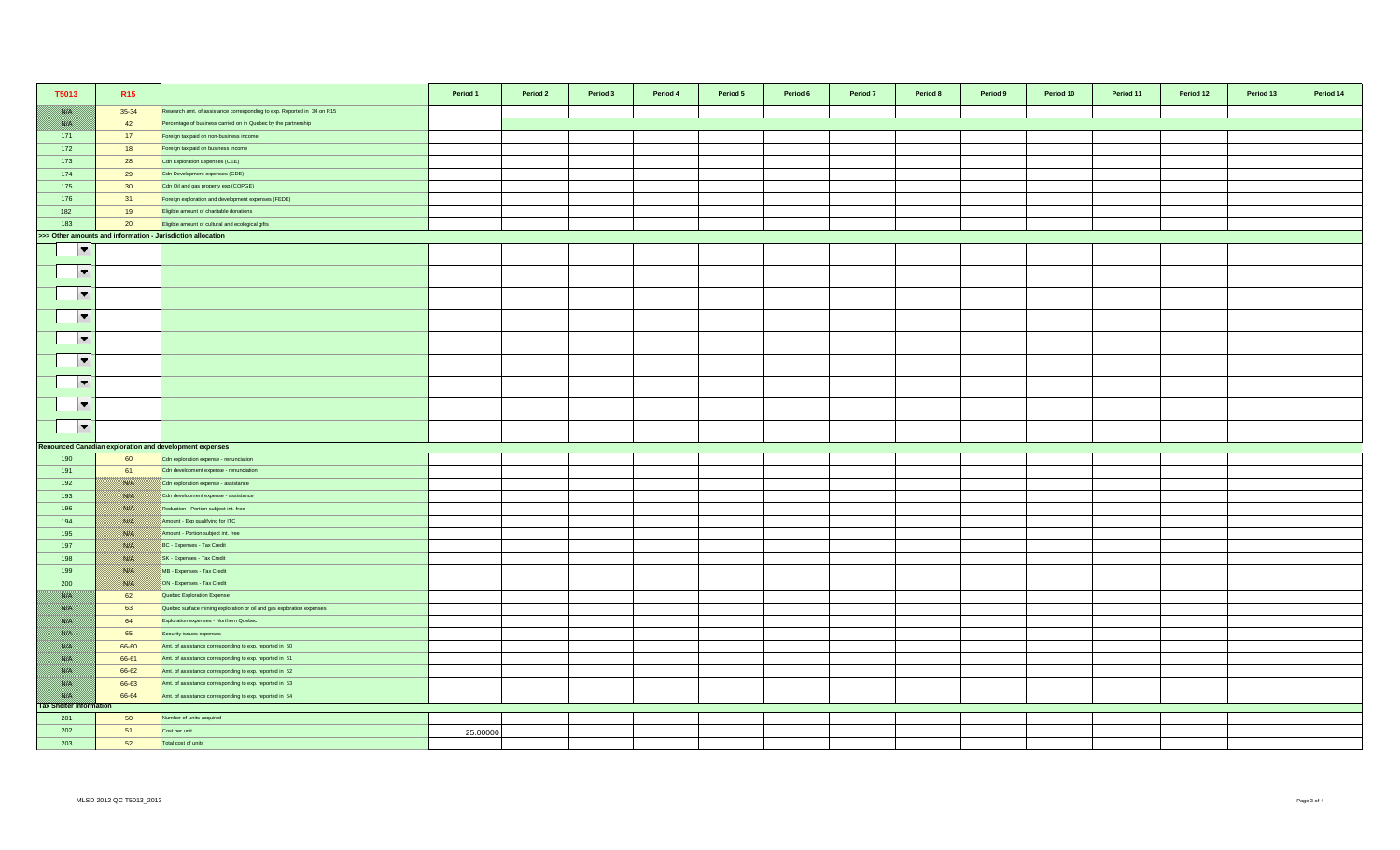| T5013                          | R <sub>15</sub>                                             |                                                                         | Period 1 | Period 2 | Period 3 | Period 4 | Period 5 | Period 6 | Period 7 | Period 8 | Period 9 | Period 10 | Period 11 | Period 12 | Period 13 | Period 14 |
|--------------------------------|-------------------------------------------------------------|-------------------------------------------------------------------------|----------|----------|----------|----------|----------|----------|----------|----------|----------|-----------|-----------|-----------|-----------|-----------|
| <u> Birth C</u>                | 35-34                                                       | Research amt. of assistance corresponding to exp. Reported in 34 on R15 |          |          |          |          |          |          |          |          |          |           |           |           |           |           |
| <b>BARA</b>                    | 42                                                          | Percentage of business carried on in Quebec by the partnership          |          |          |          |          |          |          |          |          |          |           |           |           |           |           |
| 171                            | 17                                                          | Foreign tax paid on non-business income                                 |          |          |          |          |          |          |          |          |          |           |           |           |           |           |
| 172                            | 18                                                          | Foreign tax paid on business income                                     |          |          |          |          |          |          |          |          |          |           |           |           |           |           |
| 173                            | 28                                                          | Cdn Exploration Expenses (CEE)                                          |          |          |          |          |          |          |          |          |          |           |           |           |           |           |
| 174                            | 29                                                          | Cdn Development expenses (CDE)                                          |          |          |          |          |          |          |          |          |          |           |           |           |           |           |
| 175                            | 30                                                          | Cdn Oil and gas property exp (COPGE)                                    |          |          |          |          |          |          |          |          |          |           |           |           |           |           |
| 176                            | 31                                                          | Foreign exploration and development expenses (FEDE)                     |          |          |          |          |          |          |          |          |          |           |           |           |           |           |
| 182                            | 19                                                          | Eligible amount of charitable donations                                 |          |          |          |          |          |          |          |          |          |           |           |           |           |           |
| 183                            | 20                                                          | Eligible amount of cultural and ecological gifts                        |          |          |          |          |          |          |          |          |          |           |           |           |           |           |
|                                | >>> Other amounts and information - Jurisdiction allocation |                                                                         |          |          |          |          |          |          |          |          |          |           |           |           |           |           |
| $\overline{\phantom{a}}$       |                                                             |                                                                         |          |          |          |          |          |          |          |          |          |           |           |           |           |           |
|                                |                                                             |                                                                         |          |          |          |          |          |          |          |          |          |           |           |           |           |           |
| $\overline{\phantom{a}}$       |                                                             |                                                                         |          |          |          |          |          |          |          |          |          |           |           |           |           |           |
|                                |                                                             |                                                                         |          |          |          |          |          |          |          |          |          |           |           |           |           |           |
| $\overline{\phantom{a}}$       |                                                             |                                                                         |          |          |          |          |          |          |          |          |          |           |           |           |           |           |
| $\overline{\phantom{a}}$       |                                                             |                                                                         |          |          |          |          |          |          |          |          |          |           |           |           |           |           |
| $\overline{\phantom{a}}$       |                                                             |                                                                         |          |          |          |          |          |          |          |          |          |           |           |           |           |           |
| $\overline{\phantom{a}}$       |                                                             |                                                                         |          |          |          |          |          |          |          |          |          |           |           |           |           |           |
|                                |                                                             |                                                                         |          |          |          |          |          |          |          |          |          |           |           |           |           |           |
| $\overline{\phantom{a}}$       |                                                             |                                                                         |          |          |          |          |          |          |          |          |          |           |           |           |           |           |
| $\overline{\phantom{a}}$       |                                                             |                                                                         |          |          |          |          |          |          |          |          |          |           |           |           |           |           |
| $\overline{\phantom{a}}$       |                                                             |                                                                         |          |          |          |          |          |          |          |          |          |           |           |           |           |           |
|                                |                                                             | Renounced Canadian exploration and development expenses                 |          |          |          |          |          |          |          |          |          |           |           |           |           |           |
| 190                            | 60                                                          | Cdn exploration expense - renunciation                                  |          |          |          |          |          |          |          |          |          |           |           |           |           |           |
| 191                            | 61                                                          | Cdn development expense - renunciation                                  |          |          |          |          |          |          |          |          |          |           |           |           |           |           |
| 192                            | <b>BAY</b>                                                  | Cdn exploration expense - assistance                                    |          |          |          |          |          |          |          |          |          |           |           |           |           |           |
| 193                            | <u> British</u>                                             | Cdn development expense - assistance                                    |          |          |          |          |          |          |          |          |          |           |           |           |           |           |
| 196                            | <b>BAY</b>                                                  | Reduction - Portion subject int. free                                   |          |          |          |          |          |          |          |          |          |           |           |           |           |           |
| 194                            | <b>BARA</b>                                                 | Amount - Exp qualifying for ITC                                         |          |          |          |          |          |          |          |          |          |           |           |           |           |           |
| 195                            | <u> Birthist</u>                                            | Amount - Portion subject int. free                                      |          |          |          |          |          |          |          |          |          |           |           |           |           |           |
| 197                            | <b>BARA</b>                                                 | BC - Expenses - Tax Credit                                              |          |          |          |          |          |          |          |          |          |           |           |           |           |           |
| 198                            | <u> Birthist</u>                                            | SK - Expenses - Tax Credit                                              |          |          |          |          |          |          |          |          |          |           |           |           |           |           |
| 199                            | <b>BAYA</b>                                                 | MB - Expenses - Tax Credit                                              |          |          |          |          |          |          |          |          |          |           |           |           |           |           |
| 200                            | <u>mari i</u>                                               | ON - Expenses - Tax Credit                                              |          |          |          |          |          |          |          |          |          |           |           |           |           |           |
| <u> Birth</u>                  | 62                                                          | Quebec Exploration Expense                                              |          |          |          |          |          |          |          |          |          |           |           |           |           |           |
| 1889 EU                        | 63                                                          | Quebec surface mining exploration or oil and gas exploration expenses   |          |          |          |          |          |          |          |          |          |           |           |           |           |           |
| <u> Biskel</u>                 | 64                                                          | Exploration expenses - Northern Quebec                                  |          |          |          |          |          |          |          |          |          |           |           |           |           |           |
| 1889 EU                        | 65                                                          | Security issues expenses                                                |          |          |          |          |          |          |          |          |          |           |           |           |           |           |
| 788 E.                         | 66-60                                                       | Amt. of assistance corresponding to exp. reported in 60                 |          |          |          |          |          |          |          |          |          |           |           |           |           |           |
| <b>Birth</b>                   | 66-61                                                       | Amt. of assistance corresponding to exp. reported in 61                 |          |          |          |          |          |          |          |          |          |           |           |           |           |           |
| <u> Birth</u>                  | 66-62                                                       | Amt. of assistance corresponding to exp. reported in 62                 |          |          |          |          |          |          |          |          |          |           |           |           |           |           |
| <u> Issael I</u>               | 66-63                                                       | Amt. of assistance corresponding to exp. reported in 63                 |          |          |          |          |          |          |          |          |          |           |           |           |           |           |
| <b>BASIC</b>                   | 66-64                                                       | Amt. of assistance corresponding to exp. reported in 64                 |          |          |          |          |          |          |          |          |          |           |           |           |           |           |
| <b>Tax Shelter Information</b> |                                                             |                                                                         |          |          |          |          |          |          |          |          |          |           |           |           |           |           |
| 201                            | 50                                                          | Number of units acquired                                                |          |          |          |          |          |          |          |          |          |           |           |           |           |           |
| 202                            | 51                                                          | Cost per unit                                                           | 25,00000 |          |          |          |          |          |          |          |          |           |           |           |           |           |
| 203                            | 52                                                          | Total cost of units                                                     |          |          |          |          |          |          |          |          |          |           |           |           |           |           |